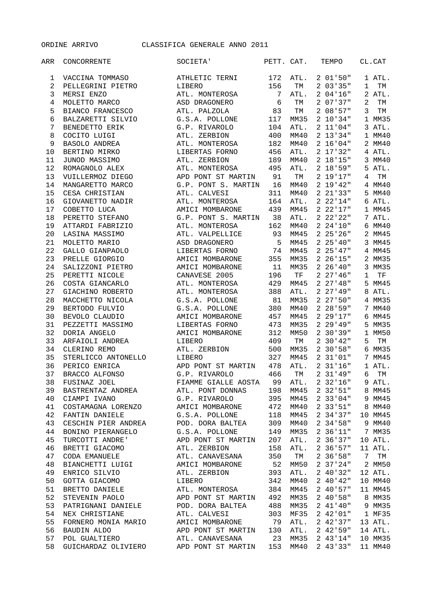ORDINE ARRIVO CLASSIFICA GENERALE ANNO 2011

| ARR              | CONCORRENTE                            | SOCIETA'            | PETT. CAT. |      | TEMPO              | CL.CAT  |
|------------------|----------------------------------------|---------------------|------------|------|--------------------|---------|
| 1                | VACCINA TOMMASO                        | ATHLETIC TERNI      | 172        | ATL. | 201'50"            | 1 ATL.  |
| $\sqrt{2}$       | PELLEGRINI PIETRO                      | LIBERO              | 156        | ТM   | 203'35"            | 1<br>TM |
| $\mathsf 3$      | MERSI ENZO                             | ATL. MONTEROSA      | 7          | ATL. | 204'16"            | 2 ATL.  |
| $\,4$            | MOLETTO MARCO                          | ASD DRAGONERO       | 6          | TМ   | 2 07 37"           | 2<br>TM |
| 5                | BIANCO FRANCESCO                       | ATL. PALZOLA        | 83         | TМ   | 208'57"            | 3<br>TM |
| 6                | BALZARETTI SILVIO                      | G.S.A. POLLONE      | 117        | MM35 | 2 10'34"           | 1 MM35  |
| $\boldsymbol{7}$ | BENEDETTO ERIK                         | G.P. RIVAROLO       | 104        | ATL. | 2 11'04"           | 3 ATL.  |
| 8                | COCITO LUIGI                           | ATL. ZERBION        | 400        | MM40 | 2 13'34"           | 1 MM40  |
| 9                | BASOLO ANDREA                          | ATL. MONTEROSA      | 182        | MM40 | 2 16'04"           | 2 MM40  |
| 10               | BERTINO MIRKO                          | LIBERTAS FORNO      | 456        | ATL. | 2 17'32"           | 4 ATL.  |
| 11               | JUNOD MASSIMO                          | ATL. ZERBION        | 189        | MM40 | 2 18'15"           | 3 MM40  |
| 12               | ROMAGNOLO ALEX                         | ATL. MONTEROSA      | 495        | ATL. | 2 18.59            | 5 ATL.  |
| 13               | VUILLERMOZ DIEGO                       | APD PONT ST MARTIN  | 91         | TM   | 2 19'17''          | 4<br>TM |
| 14               | MANGARETTO MARCO                       | G.P. PONT S. MARTIN | 16         | MM40 | 2 19'42"           | 4 MM40  |
| 15               | CESA CHRISTIAN                         | ATL. CALVESI        | 311        | MM40 | $2 \t21'33"$       | 5 MM40  |
| 16               | GIOVANETTO NADIR                       | ATL. MONTEROSA      | 164        | ATL. | 2 22'14"           | 6 ATL.  |
| 17               | COBETTO LUCA                           | AMICI MOMBARONE     | 439        | MM45 | 222'17"            | 1 MM45  |
| 18               | PERETTO STEFANO                        | G.P. PONT S. MARTIN | 38         | ATL. | $2\;\;22'\;22"$    | 7 ATL.  |
| 19               | ATTARDI FABRIZIO                       | ATL. MONTEROSA      | 162        | MM40 | 224'10''           | 6 MM40  |
| 20               | LASINA MASSIMO                         | ATL. VALPELLICE     | 93         | MM45 | $2\;\;25$ ' $26$ " | 2 MM45  |
| 21               | MOLETTO MARIO                          | ASD DRAGONERO       | 5          | MM45 | $2\;\;25$ '40"     | 3 MM45  |
| 22               | GALLO GIANPAOLO                        | LIBERTAS FORNO      | 74         | MM45 | 225'47"            | 4 MM45  |
| 23               | PRELLE GIORGIO                         | AMICI MOMBARONE     | 355        | MM35 | $2\;\;26'$ 15"     | 2 MM35  |
| 24               |                                        | AMICI MOMBARONE     | 11         | MM35 | $2\;\;26\;40"$     | 3 MM35  |
|                  | SALIZZONI PIETRO                       |                     |            |      | 227'46''           | TF      |
| 25               | PERETTI NICOLE                         | CANAVESE 2005       | 196        | TF   | $2\;\;27'$ 48"     | 1       |
| 26               | COSTA GIANCARLO                        | ATL. MONTEROSA      | 429        | MM45 | 227'49"            | 5 MM45  |
| 27               | GIACHINO ROBERTO                       | ATL. MONTEROSA      | 388        | ATL. |                    | 8 ATL.  |
| 28               | MACCHETTO NICOLA                       | G.S.A. POLLONE      | 81         | MM35 | 227:50"            | 4 MM35  |
| 29               | BERTODO FULVIO                         | G.S.A. POLLONE      | 380        | MM40 | 228'59"            | 7 MM40  |
| 30               | BEVOLO CLAUDIO                         | AMICI MOMBARONE     | 457        | MM45 | 229'17"            | 6 MM45  |
| 31               | PEZZETTI MASSIMO                       | LIBERTAS FORNO      | 473        | MM35 | 229'49"            | 5 MM35  |
| 32               | DORIA ANGELO                           | AMICI MOMBARONE     | 312        | MM50 | $2 \t30'39''$      | 1 MM50  |
| 33               | ARFAIOLI ANDREA                        | LIBERO              | 409        | TM   | $2 \t30'42''$      | 5<br>TM |
| 34               | CLERINO REMO                           | ATL. ZERBION        | 500        | MM35 | 230'58"            | 6 MM35  |
| 35               | STERLICCO ANTONELLO                    | LIBERO              | 327        | MM45 | 2 31'01"           | 7 MM45  |
| 36               | PERICO ENRICA                          | APD PONT ST MARTIN  | 478        | ATL. | $2 \frac{31}{16}$  | 1 ATL.  |
| 37               | BRACCO ALFONSO                         | G.P. RIVAROLO       | 466        | TM   | $2 \frac{31}{49}$  | 6<br>TM |
| 38               | FUSINAZ JOEL                           | FIAMME GIALLE AOSTA | 99         | ATL. | $2\;\;32'$ 16"     | 9 ATL.  |
| 39               | BASTRENTAZ ANDREA                      | ATL. PONT DONNAS    | 198        | MM45 | $2 \t32'51''$      | 8 MM45  |
| 40               | CIAMPI IVANO                           | G.P. RIVAROLO       | 395        | MM45 | 233'04"            | 9 MM45  |
| 41               | COSTAMAGNA LORENZO                     | AMICI MOMBARONE     | 472        | MM40 | $2 \t33'51''$      | 8 MM40  |
| 42               | FANTIN DANIELE                         | G.S.A. POLLONE      | 118        | MM45 | $2 \t34'37''$      | 10 MM45 |
| 43               | CESCHIN PIER ANDREA                    | POD. DORA BALTEA    | 309        | MM40 | $2\;\;34\;\;58"$   | 9 MM40  |
| 44               | BONINO PIERANGELO                      | G.S.A. POLLONE      | 149        | MM35 | 2 36'11"           | 7 MM35  |
| 45               | TURCOTTI ANDRE'                        | APD PONT ST MARTIN  | 207        | ATL. | $2\,36'37''$       | 10 ATL. |
| 46               | BRETTI GIACOMO                         | ATL. ZERBION        | 158        | ATL. | 2.36'57"           | 11 ATL. |
| 47               | CODA EMANUELE                          | ATL. CANAVESANA     | 350        | TM   | 236'58''           | 7<br>TM |
| 48               | BIANCHETTI LUIGI                       | AMICI MOMBARONE     | 52         | MM50 | 237'24"            | 2 MM50  |
| 49               | ENRICO SILVIO                          | ATL. ZERBION        | 393        | ATL. | 240'32"            | 12 ATL. |
| 50               | GOTTA GIACOMO                          | LIBERO              | 342        | MM40 | 240'42"            | 10 MM40 |
| 51               | BRETTO DANIELE                         | ATL. MONTEROSA      | 384        | MM45 | 240'57"            | 11 MM45 |
| 52               | STEVENIN PAOLO APD PONT ST MARTIN 492  |                     |            | MM35 | 240'58"            | 8 MM35  |
| 53               | PATRIGNANI DANIELE POD. DORA BALTEA    |                     | 488        | MM35 | 241'40''           | 9 MM35  |
| 54               | NEX CHRISTIANE                         | ATL. CALVESI        | 303        | MF35 | 242'01"            | 1 MF35  |
| 55               | FORNERO MONIA MARIO AMICI MOMBARONE 79 |                     |            | ATL. | $2\;\;42$ ' $37$ " | 13 ATL. |
| 56               | <b>BAUDIN ALDO</b>                     | APD PONT ST MARTIN  | 130        | ATL. | 242'59''           | 14 ATL. |
| 57               | POL GUALTIERO                          |                     | 23         | MM35 | 243'14"            | 10 MM35 |
| 58               |                                        |                     | 153        | MM40 | 243'33"            | 11 MM40 |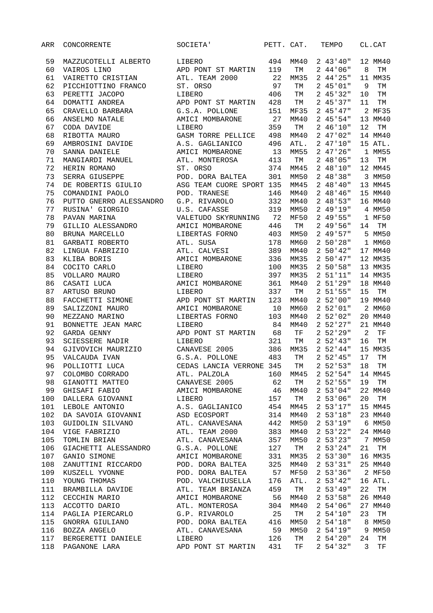| 59<br>494<br>LIBERO<br>MAZZUCOTELLI ALBERTO<br>MM40<br>60<br>VAIROS LINO<br>APD PONT ST MARTIN<br>119<br>TM<br>22<br>61<br>VAIRETTO CRISTIAN<br>ATL. TEAM 2000<br>MM35<br>62<br>97<br>PICCHIOTTINO FRANCO<br>ST. ORSO<br>TМ<br>63<br>406<br>PERETTI JACOPO<br>TМ<br>LIBERO<br>64<br>DOMATTI ANDREA<br>428<br>APD PONT ST MARTIN<br>ТM<br>65<br>CRAVELLO BARBARA<br>G.S.A. POLLONE<br>151<br><b>MF35</b><br>66<br>ANSELMO NATALE<br>27<br>MM40<br>AMICI MOMBARONE<br>67<br>359<br>CODA DAVIDE<br>LIBERO<br>TM<br>68<br>RIBOTTA MAURO<br>GASM TORRE PELLICE<br>498<br>MM40<br>69<br>AMBROSINI DAVIDE<br>A.S. GAGLIANICO<br>496<br>ATL.<br>70<br>SANNA DANIELE<br>AMICI MOMBARONE<br>13<br>MM55<br>71<br>413<br>MANGIARDI MANUEL<br>ATL. MONTEROSA<br>TM<br>72<br>ST. ORSO<br>374<br>HERIN ROMANO<br>MM45<br>73<br>301<br>SERRA GIUSEPPE<br>POD. DORA BALTEA<br>MM50<br>74<br>DE ROBERTIS GIULIO<br>ASG TEAM CUORE SPORT 135<br>MM45<br>75<br>COMANDINI PAOLO<br>POD. TRANESE<br>146<br>MM40<br>76<br>PUTTO GNERRO ALESSANDRO<br>G.P. RIVAROLO<br>332<br>MM40<br>77<br>RUSINA' GIORGIO<br>U.S. CAFASSE<br>319<br>MM50<br>78<br>VALETUDO SKYRUNNING 72<br>PAVAN MARINA<br><b>MF50</b><br>79<br>GILLIO ALESSANDRO<br>AMICI MOMBARONE<br>446<br>TM<br>80<br>BRUNA MARCELLO<br>LIBERTAS FORNO<br>403<br>MM50<br>81<br>178<br>GARBATI ROBERTO<br>ATL. SUSA<br>MM60 | 243'40''<br>244'06''<br>244'25"<br>245'01"<br>245'32"<br>245'37"<br>245'47"<br>245'54"<br>246'10"<br>247'02" | 12 MM40<br>8<br>TM<br>11 MM35<br>9<br>TM<br>10<br>TM<br>11<br>TM<br>2 MF35<br>13 MM40<br>12<br>TM |
|------------------------------------------------------------------------------------------------------------------------------------------------------------------------------------------------------------------------------------------------------------------------------------------------------------------------------------------------------------------------------------------------------------------------------------------------------------------------------------------------------------------------------------------------------------------------------------------------------------------------------------------------------------------------------------------------------------------------------------------------------------------------------------------------------------------------------------------------------------------------------------------------------------------------------------------------------------------------------------------------------------------------------------------------------------------------------------------------------------------------------------------------------------------------------------------------------------------------------------------------------------------------------------------------------------------------------------------------------------|--------------------------------------------------------------------------------------------------------------|---------------------------------------------------------------------------------------------------|
|                                                                                                                                                                                                                                                                                                                                                                                                                                                                                                                                                                                                                                                                                                                                                                                                                                                                                                                                                                                                                                                                                                                                                                                                                                                                                                                                                            |                                                                                                              |                                                                                                   |
|                                                                                                                                                                                                                                                                                                                                                                                                                                                                                                                                                                                                                                                                                                                                                                                                                                                                                                                                                                                                                                                                                                                                                                                                                                                                                                                                                            |                                                                                                              |                                                                                                   |
|                                                                                                                                                                                                                                                                                                                                                                                                                                                                                                                                                                                                                                                                                                                                                                                                                                                                                                                                                                                                                                                                                                                                                                                                                                                                                                                                                            |                                                                                                              |                                                                                                   |
|                                                                                                                                                                                                                                                                                                                                                                                                                                                                                                                                                                                                                                                                                                                                                                                                                                                                                                                                                                                                                                                                                                                                                                                                                                                                                                                                                            |                                                                                                              |                                                                                                   |
|                                                                                                                                                                                                                                                                                                                                                                                                                                                                                                                                                                                                                                                                                                                                                                                                                                                                                                                                                                                                                                                                                                                                                                                                                                                                                                                                                            |                                                                                                              |                                                                                                   |
|                                                                                                                                                                                                                                                                                                                                                                                                                                                                                                                                                                                                                                                                                                                                                                                                                                                                                                                                                                                                                                                                                                                                                                                                                                                                                                                                                            |                                                                                                              |                                                                                                   |
|                                                                                                                                                                                                                                                                                                                                                                                                                                                                                                                                                                                                                                                                                                                                                                                                                                                                                                                                                                                                                                                                                                                                                                                                                                                                                                                                                            |                                                                                                              |                                                                                                   |
|                                                                                                                                                                                                                                                                                                                                                                                                                                                                                                                                                                                                                                                                                                                                                                                                                                                                                                                                                                                                                                                                                                                                                                                                                                                                                                                                                            |                                                                                                              |                                                                                                   |
|                                                                                                                                                                                                                                                                                                                                                                                                                                                                                                                                                                                                                                                                                                                                                                                                                                                                                                                                                                                                                                                                                                                                                                                                                                                                                                                                                            |                                                                                                              |                                                                                                   |
|                                                                                                                                                                                                                                                                                                                                                                                                                                                                                                                                                                                                                                                                                                                                                                                                                                                                                                                                                                                                                                                                                                                                                                                                                                                                                                                                                            |                                                                                                              | 14 MM40                                                                                           |
|                                                                                                                                                                                                                                                                                                                                                                                                                                                                                                                                                                                                                                                                                                                                                                                                                                                                                                                                                                                                                                                                                                                                                                                                                                                                                                                                                            | 247'10''                                                                                                     | 15 ATL.                                                                                           |
|                                                                                                                                                                                                                                                                                                                                                                                                                                                                                                                                                                                                                                                                                                                                                                                                                                                                                                                                                                                                                                                                                                                                                                                                                                                                                                                                                            | 247'26''                                                                                                     | 1 MM55                                                                                            |
|                                                                                                                                                                                                                                                                                                                                                                                                                                                                                                                                                                                                                                                                                                                                                                                                                                                                                                                                                                                                                                                                                                                                                                                                                                                                                                                                                            | 248'05"                                                                                                      | 13<br>TM                                                                                          |
|                                                                                                                                                                                                                                                                                                                                                                                                                                                                                                                                                                                                                                                                                                                                                                                                                                                                                                                                                                                                                                                                                                                                                                                                                                                                                                                                                            | 248'10''                                                                                                     | 12 MM45                                                                                           |
|                                                                                                                                                                                                                                                                                                                                                                                                                                                                                                                                                                                                                                                                                                                                                                                                                                                                                                                                                                                                                                                                                                                                                                                                                                                                                                                                                            | 248'38"                                                                                                      | 3 MM50                                                                                            |
|                                                                                                                                                                                                                                                                                                                                                                                                                                                                                                                                                                                                                                                                                                                                                                                                                                                                                                                                                                                                                                                                                                                                                                                                                                                                                                                                                            | 248'40''                                                                                                     | 13 MM45                                                                                           |
|                                                                                                                                                                                                                                                                                                                                                                                                                                                                                                                                                                                                                                                                                                                                                                                                                                                                                                                                                                                                                                                                                                                                                                                                                                                                                                                                                            | 248'46''                                                                                                     | 15 MM40                                                                                           |
|                                                                                                                                                                                                                                                                                                                                                                                                                                                                                                                                                                                                                                                                                                                                                                                                                                                                                                                                                                                                                                                                                                                                                                                                                                                                                                                                                            | 248'53"                                                                                                      | 16 MM40                                                                                           |
|                                                                                                                                                                                                                                                                                                                                                                                                                                                                                                                                                                                                                                                                                                                                                                                                                                                                                                                                                                                                                                                                                                                                                                                                                                                                                                                                                            | 249'19"                                                                                                      | 4 MM50                                                                                            |
|                                                                                                                                                                                                                                                                                                                                                                                                                                                                                                                                                                                                                                                                                                                                                                                                                                                                                                                                                                                                                                                                                                                                                                                                                                                                                                                                                            | $249.55$ "                                                                                                   | 1 MF50                                                                                            |
|                                                                                                                                                                                                                                                                                                                                                                                                                                                                                                                                                                                                                                                                                                                                                                                                                                                                                                                                                                                                                                                                                                                                                                                                                                                                                                                                                            | $249.56$ "                                                                                                   | 14<br>TM                                                                                          |
|                                                                                                                                                                                                                                                                                                                                                                                                                                                                                                                                                                                                                                                                                                                                                                                                                                                                                                                                                                                                                                                                                                                                                                                                                                                                                                                                                            | $249.57$ "                                                                                                   | 5 MM50                                                                                            |
|                                                                                                                                                                                                                                                                                                                                                                                                                                                                                                                                                                                                                                                                                                                                                                                                                                                                                                                                                                                                                                                                                                                                                                                                                                                                                                                                                            | 250'28"                                                                                                      | 1 MM60                                                                                            |
| 82<br>389<br>LINGUA FABRIZIO<br>ATL. CALVESI<br>MM40                                                                                                                                                                                                                                                                                                                                                                                                                                                                                                                                                                                                                                                                                                                                                                                                                                                                                                                                                                                                                                                                                                                                                                                                                                                                                                       | 250'42"                                                                                                      | 17 MM40                                                                                           |
| 83<br>KLIBA BORIS<br>AMICI MOMBARONE<br>336<br>MM35                                                                                                                                                                                                                                                                                                                                                                                                                                                                                                                                                                                                                                                                                                                                                                                                                                                                                                                                                                                                                                                                                                                                                                                                                                                                                                        | 2 50'47"                                                                                                     | 12 MM35                                                                                           |
| 84<br>COCITO CARLO<br>100<br>LIBERO<br>MM35                                                                                                                                                                                                                                                                                                                                                                                                                                                                                                                                                                                                                                                                                                                                                                                                                                                                                                                                                                                                                                                                                                                                                                                                                                                                                                                | 250'58"                                                                                                      | 13 MM35                                                                                           |
| 85<br>397<br>VOLLARO MAURO<br>MM35<br>LIBERO                                                                                                                                                                                                                                                                                                                                                                                                                                                                                                                                                                                                                                                                                                                                                                                                                                                                                                                                                                                                                                                                                                                                                                                                                                                                                                               | 2 51'11"                                                                                                     | 14 MM35                                                                                           |
| 86<br>CASATI LUCA<br>AMICI MOMBARONE<br>361<br>MM40                                                                                                                                                                                                                                                                                                                                                                                                                                                                                                                                                                                                                                                                                                                                                                                                                                                                                                                                                                                                                                                                                                                                                                                                                                                                                                        | 2 51'29"                                                                                                     | 18 MM40                                                                                           |
| 87<br>337<br>ARTUSO BRUNO<br>TM<br>LIBERO                                                                                                                                                                                                                                                                                                                                                                                                                                                                                                                                                                                                                                                                                                                                                                                                                                                                                                                                                                                                                                                                                                                                                                                                                                                                                                                  | 2 51'55"                                                                                                     | 15<br>TM                                                                                          |
| 88<br>FACCHETTI SIMONE<br>APD PONT ST MARTIN<br>123<br>MM40                                                                                                                                                                                                                                                                                                                                                                                                                                                                                                                                                                                                                                                                                                                                                                                                                                                                                                                                                                                                                                                                                                                                                                                                                                                                                                | 252'00"                                                                                                      | 19 MM40                                                                                           |
| 89<br>SALIZZONI MAURO<br>AMICI MOMBARONE<br>10<br>MM60                                                                                                                                                                                                                                                                                                                                                                                                                                                                                                                                                                                                                                                                                                                                                                                                                                                                                                                                                                                                                                                                                                                                                                                                                                                                                                     | 2 52'01"                                                                                                     | 2 MM60                                                                                            |
| 90<br>MEZZANO MARINO<br>LIBERTAS FORNO<br>103<br>MM40                                                                                                                                                                                                                                                                                                                                                                                                                                                                                                                                                                                                                                                                                                                                                                                                                                                                                                                                                                                                                                                                                                                                                                                                                                                                                                      | 2 52'02"                                                                                                     | 20 MM40                                                                                           |
| 91<br>84<br>BONNETTE JEAN MARC<br>LIBERO<br>MM40                                                                                                                                                                                                                                                                                                                                                                                                                                                                                                                                                                                                                                                                                                                                                                                                                                                                                                                                                                                                                                                                                                                                                                                                                                                                                                           | 2 52'27''                                                                                                    | 21 MM40                                                                                           |
| 92<br>APD PONT ST MARTIN<br>68<br>GARDA GENNY<br>TF                                                                                                                                                                                                                                                                                                                                                                                                                                                                                                                                                                                                                                                                                                                                                                                                                                                                                                                                                                                                                                                                                                                                                                                                                                                                                                        | 252'29"                                                                                                      | $\overline{2}$<br>ТF                                                                              |
| 93<br>SCIESSERE NADIR<br>LIBERO<br>321<br>TМ                                                                                                                                                                                                                                                                                                                                                                                                                                                                                                                                                                                                                                                                                                                                                                                                                                                                                                                                                                                                                                                                                                                                                                                                                                                                                                               | $2\;\;52'$ 43"                                                                                               | 16<br>TM                                                                                          |
| 386<br>94<br>GJIVOVICH MAURIZIO<br>CANAVESE 2005<br>MM35                                                                                                                                                                                                                                                                                                                                                                                                                                                                                                                                                                                                                                                                                                                                                                                                                                                                                                                                                                                                                                                                                                                                                                                                                                                                                                   | 2 52' 44"                                                                                                    | 15 MM35                                                                                           |
| 95<br>VALCAUDA IVAN<br>G.S.A. POLLONE<br>483<br>TM                                                                                                                                                                                                                                                                                                                                                                                                                                                                                                                                                                                                                                                                                                                                                                                                                                                                                                                                                                                                                                                                                                                                                                                                                                                                                                         | $2\;\;52'$ 45"                                                                                               | 17<br>TM                                                                                          |
| 96<br>POLLIOTTI LUCA<br>CEDAS LANCIA VERRONE 345<br>TМ                                                                                                                                                                                                                                                                                                                                                                                                                                                                                                                                                                                                                                                                                                                                                                                                                                                                                                                                                                                                                                                                                                                                                                                                                                                                                                     | 252'53"                                                                                                      | 18<br>TМ                                                                                          |
| COLOMBO CORRADO<br>97<br>ATL. PALZOLA<br>160<br>MM45                                                                                                                                                                                                                                                                                                                                                                                                                                                                                                                                                                                                                                                                                                                                                                                                                                                                                                                                                                                                                                                                                                                                                                                                                                                                                                       | 252'54"                                                                                                      | 14 MM45                                                                                           |
| 98<br>62<br>GIANOTTI MATTEO<br>CANAVESE 2005<br>TM                                                                                                                                                                                                                                                                                                                                                                                                                                                                                                                                                                                                                                                                                                                                                                                                                                                                                                                                                                                                                                                                                                                                                                                                                                                                                                         | 252'55"                                                                                                      | 19<br>TM                                                                                          |
| 99<br>46<br>GHISAFI FABIO<br>AMICI MOMBARONE<br>MM40                                                                                                                                                                                                                                                                                                                                                                                                                                                                                                                                                                                                                                                                                                                                                                                                                                                                                                                                                                                                                                                                                                                                                                                                                                                                                                       | 2 53'04"                                                                                                     | 22 MM40                                                                                           |
| DALLERA GIOVANNI<br>100<br>157<br>TМ<br>LIBERO                                                                                                                                                                                                                                                                                                                                                                                                                                                                                                                                                                                                                                                                                                                                                                                                                                                                                                                                                                                                                                                                                                                                                                                                                                                                                                             | 253'06"                                                                                                      | 20<br>TM                                                                                          |
| 101<br>454<br>LEBOLE ANTONIO<br>MM45<br>A.S. GAGLIANICO                                                                                                                                                                                                                                                                                                                                                                                                                                                                                                                                                                                                                                                                                                                                                                                                                                                                                                                                                                                                                                                                                                                                                                                                                                                                                                    | 2 53'17"                                                                                                     | 15 MM45                                                                                           |
| 102<br>DA SAVOIA GIOVANNI ASD ECOSPORT<br>314<br>MM40                                                                                                                                                                                                                                                                                                                                                                                                                                                                                                                                                                                                                                                                                                                                                                                                                                                                                                                                                                                                                                                                                                                                                                                                                                                                                                      | 2 53'18"                                                                                                     | 23 MM40                                                                                           |
| 103<br>GUIDOLIN SILVANO<br>ATL. CANAVESANA<br>442<br>MM50                                                                                                                                                                                                                                                                                                                                                                                                                                                                                                                                                                                                                                                                                                                                                                                                                                                                                                                                                                                                                                                                                                                                                                                                                                                                                                  | 2 53'19''                                                                                                    | 6 MM50                                                                                            |
| 104<br>ATL. TEAM 2000<br>383<br>VIGE FABRIZIO<br>MM40                                                                                                                                                                                                                                                                                                                                                                                                                                                                                                                                                                                                                                                                                                                                                                                                                                                                                                                                                                                                                                                                                                                                                                                                                                                                                                      | $2\;\;53'$ $22"$                                                                                             | 24 MM40                                                                                           |
| 105<br>ATL. CANAVESANA<br>357<br>MM50<br>TOMLIN BRIAN                                                                                                                                                                                                                                                                                                                                                                                                                                                                                                                                                                                                                                                                                                                                                                                                                                                                                                                                                                                                                                                                                                                                                                                                                                                                                                      | 253'23"                                                                                                      | 7 MM50                                                                                            |
| 106<br>G.S.A. POLLONE<br>127<br>GIACHETTI ALESSANDRO<br>TM                                                                                                                                                                                                                                                                                                                                                                                                                                                                                                                                                                                                                                                                                                                                                                                                                                                                                                                                                                                                                                                                                                                                                                                                                                                                                                 | $2\;\;53$ ' $24$ "                                                                                           | 21<br>TM                                                                                          |
| 107<br><b>MM35</b><br>GANIO SIMONE<br>AMICI MOMBARONE<br>331                                                                                                                                                                                                                                                                                                                                                                                                                                                                                                                                                                                                                                                                                                                                                                                                                                                                                                                                                                                                                                                                                                                                                                                                                                                                                               | 253'30"                                                                                                      | 16 MM35                                                                                           |
| 108<br>ZANUTTINI RICCARDO<br>POD. DORA BALTEA<br>325<br>MM40                                                                                                                                                                                                                                                                                                                                                                                                                                                                                                                                                                                                                                                                                                                                                                                                                                                                                                                                                                                                                                                                                                                                                                                                                                                                                               | 2 53'31"                                                                                                     | 25 MM40                                                                                           |
| 109<br>POD. DORA BALTEA<br>57<br>MF50<br>KUSZELL YVONNE                                                                                                                                                                                                                                                                                                                                                                                                                                                                                                                                                                                                                                                                                                                                                                                                                                                                                                                                                                                                                                                                                                                                                                                                                                                                                                    | $2\;\;53'36"$                                                                                                | 2 MF50                                                                                            |
| 110<br>POD. VALCHIUSELLA<br>176<br>YOUNG THOMAS<br>ATL.                                                                                                                                                                                                                                                                                                                                                                                                                                                                                                                                                                                                                                                                                                                                                                                                                                                                                                                                                                                                                                                                                                                                                                                                                                                                                                    | $2\;\;53'$ 42"                                                                                               | 16 ATL.                                                                                           |
| 111<br>ATL. TEAM BRIANZA<br>459<br>TM<br>BRAMBILLA DAVIDE                                                                                                                                                                                                                                                                                                                                                                                                                                                                                                                                                                                                                                                                                                                                                                                                                                                                                                                                                                                                                                                                                                                                                                                                                                                                                                  | 253'49"                                                                                                      | 22<br>TM                                                                                          |
| 112<br>56<br>MM40<br>CECCHIN MARIO<br>AMICI MOMBARONE                                                                                                                                                                                                                                                                                                                                                                                                                                                                                                                                                                                                                                                                                                                                                                                                                                                                                                                                                                                                                                                                                                                                                                                                                                                                                                      | $2\;\;53'$ 58"                                                                                               | 26 MM40                                                                                           |
| 113<br>ACCOTTO DARIO<br>ATL. MONTEROSA<br>MM40<br>304                                                                                                                                                                                                                                                                                                                                                                                                                                                                                                                                                                                                                                                                                                                                                                                                                                                                                                                                                                                                                                                                                                                                                                                                                                                                                                      | 254'06''                                                                                                     | 27 MM40                                                                                           |
| 25<br>114<br>PAGLIA PIERCARLO<br>G.P. RIVAROLO<br>TM                                                                                                                                                                                                                                                                                                                                                                                                                                                                                                                                                                                                                                                                                                                                                                                                                                                                                                                                                                                                                                                                                                                                                                                                                                                                                                       | 254'10"                                                                                                      | 23<br>TM                                                                                          |
| 416<br>115<br>GNORRA GIULIANO<br>POD. DORA BALTEA<br>MM50                                                                                                                                                                                                                                                                                                                                                                                                                                                                                                                                                                                                                                                                                                                                                                                                                                                                                                                                                                                                                                                                                                                                                                                                                                                                                                  | $2\;\;54'$ 18"                                                                                               | 8 MM50                                                                                            |
| 116<br>BOZZA ANGELO<br>ATL. CANAVESANA<br>59<br>MM50                                                                                                                                                                                                                                                                                                                                                                                                                                                                                                                                                                                                                                                                                                                                                                                                                                                                                                                                                                                                                                                                                                                                                                                                                                                                                                       | 254'19"                                                                                                      |                                                                                                   |
| 117<br>LIBERO<br>126<br>TМ<br>BERGERETTI DANIELE                                                                                                                                                                                                                                                                                                                                                                                                                                                                                                                                                                                                                                                                                                                                                                                                                                                                                                                                                                                                                                                                                                                                                                                                                                                                                                           |                                                                                                              | 9 MM50                                                                                            |
| 118<br>PAGANONE LARA<br>APD PONT ST MARTIN<br>431<br>TF                                                                                                                                                                                                                                                                                                                                                                                                                                                                                                                                                                                                                                                                                                                                                                                                                                                                                                                                                                                                                                                                                                                                                                                                                                                                                                    | $2\;\;54$ ' $20$ "                                                                                           | 24<br>TM                                                                                          |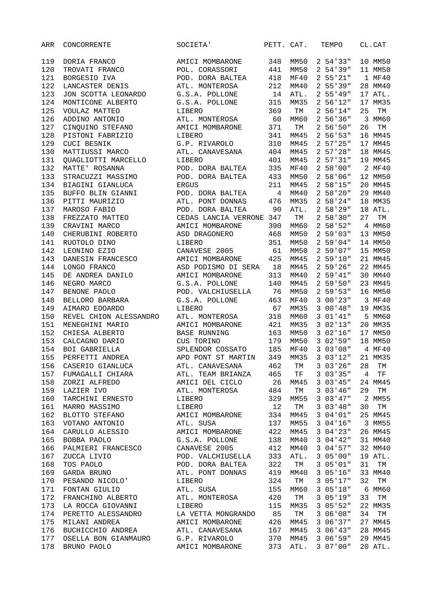| ARR | CONCORRENTE                            | SOCIETA'                                    | PETT. CAT. |      | TEMPO       |    | CL.CAT  |
|-----|----------------------------------------|---------------------------------------------|------------|------|-------------|----|---------|
| 119 | DORIA FRANCO                           | AMICI MOMBARONE                             | 348        | MM50 | 254'33"     |    | 10 MM50 |
| 120 | TROVATI FRANCO                         | POL. CORASSORI                              | 441        | MM50 | 254'39"     |    | 11 MM50 |
| 121 | BORGESIO IVA                           | POD. DORA BALTEA                            | 418        | MF40 | 2 55'21"    |    | 1 MF40  |
| 122 | LANCASTER DENIS                        | ATL. MONTEROSA                              | 212        | MM40 | 255'39"     |    | 28 MM40 |
| 123 | JON SCOTTA LEONARDO                    | G.S.A. POLLONE                              | 14         | ATL. | 255'49"     |    | 17 ATL. |
| 124 | MONTICONE ALBERTO                      | G.S.A. POLLONE                              | 315        | MM35 | 256'12"     |    | 17 MM35 |
| 125 | VOULAZ MATTEO                          | LIBERO                                      | 369        | TM   | 256'14"     | 25 | TM      |
| 126 | ADDINO ANTONIO                         | ATL. MONTEROSA                              | 60         | MM60 | 256'36"     |    | 3 MM60  |
| 127 | CINQUINO STEFANO                       | AMICI MOMBARONE                             | 371        | TM   | 256'50"     | 26 | TM      |
| 128 | PISTONI FABRIZIO                       | LIBERO                                      | 341        | MM45 | 256'53"     |    | 16 MM45 |
| 129 | CUCI BESNIK                            | G.P. RIVAROLO                               | 310        | MM45 | 257'25"     |    | 17 MM45 |
| 130 | MATTIUSSI MARCO                        | ATL. CANAVESANA                             | 404        | MM45 | 257'28"     |    | 18 MM45 |
| 131 | QUAGLIOTTI MARCELLO                    | LIBERO                                      | 401        | MM45 | 2 57'31"    |    | 19 MM45 |
| 132 | MATTE' ROSANNA                         | POD. DORA BALTEA                            | 335        | MF40 | 258'00"     |    | 2 MF40  |
| 133 | STRACUZZI MASSIMO                      | POD. DORA BALTEA                            | 433        | MM50 | 258'06"     |    | 12 MM50 |
| 134 | BIAGINI GIANLUCA                       | <b>ERGUS</b>                                | 211        | MM45 | 258'15"     |    | 20 MM45 |
| 135 | BUFFO BLIN GIANNI                      | POD. DORA BALTEA                            | 4          | MM40 | 258'20"     |    | 29 MM40 |
| 136 | PITTI MAURIZIO                         | ATL. PONT DONNAS                            | 476        | MM35 | 258'24"     |    | 18 MM35 |
| 137 | MAROSO FABIO                           | POD. DORA BALTEA                            | 90         | ATL. | 258'29"     |    | 18 ATL. |
|     |                                        |                                             |            |      |             | 27 |         |
| 138 | FREZZATO MATTEO                        | CEDAS LANCIA VERRONE 347<br>AMICI MOMBARONE |            | TМ   | 258'30"     |    | TM      |
| 139 | CRAVINI MARCO                          |                                             | 390        | MM60 | 258'52"     |    | 4 MM60  |
| 140 | CHERUBINI ROBERTO                      | ASD DRAGONERO                               | 468        | MM50 | 259'03"     |    | 13 MM50 |
| 141 | RUOTOLO DINO                           | LIBERO                                      | 351        | MMSO | 259'04"     |    | 14 MM50 |
| 142 | LEONINO EZIO                           | CANAVESE 2005                               | 61         | MM50 | 2 59 07"    |    | 15 MM50 |
| 143 | DANESIN FRANCESCO                      | AMICI MOMBARONE                             | 425        | MM45 | 259'10"     |    | 21 MM45 |
| 144 | LONGO FRANCO                           | ASD PODISMO DI SERA 18                      |            | MM45 | 259'26"     |    | 22 MM45 |
| 145 | DE ANDREA DANILO                       | AMICI MOMBARONE                             | 313        | MM40 | 259'41"     |    | 30 MM40 |
| 146 | NEGRO MARCO                            | G.S.A. POLLONE                              | 140        | MM45 | 259'50"     |    | 23 MM45 |
| 147 | BENONE PAOLO                           | POD. VALCHIUSELLA                           | 76         | MM50 | 259'53"     |    | 16 MM50 |
| 148 | BELLORO BARBARA                        | G.S.A. POLLONE                              | 463        | MF40 | 3 00 23 "   |    | 3 MF40  |
| 149 | AIMARO EDOARDO                         | LIBERO                                      | 67         | MM35 | 300'48"     |    | 19 MM35 |
| 150 | REVEL CHION ALESSANDRO                 | ATL. MONTEROSA                              | 318        | MM60 | 301'41"     |    | 5 MM60  |
| 151 | MENEGHINI MARIO                        | AMICI MOMBARONE                             | 421        | MM35 | 302'13"     |    | 20 MM35 |
| 152 | CHIESA ALBERTO                         | <b>BASE RUNNING</b>                         | 163        | MM50 | 302'16''    |    | 17 MM50 |
| 153 | CALCAGNO DARIO                         | CUS TORINO                                  | 179        | MM50 | 3 02 '59"   |    | 18 MM50 |
| 154 | BOI GABRIELLA                          | SPLENDOR COSSATO                            | 185        | MF40 | 303'08"     |    | 4 MF40  |
| 155 | PERFETTI ANDREA                        | APD PONT ST MARTIN                          | 349        | MM35 | 303'12"     |    | 21 MM35 |
| 156 | CASERIO GIANLUCA                       | ATL. CANAVESANA                             | 462        | TМ   | 3 03 26"    | 28 | TM      |
| 157 | FUMAGALLI CHIARA                       | ATL. TEAM BRIANZA                           | 465        | TF   | 303'35"     | 4  | TF      |
| 158 | ZORZI ALFREDO                          | AMICI DEL CICLO                             | 26         | MM45 | 303'45"     |    | 24 MM45 |
| 159 | LAZIER IVO                             | ATL. MONTEROSA                              | 484        | TM   | 303'46''    | 29 | TM      |
| 160 | TARCHINI ERNESTO                       | LIBERO                                      | 329        | MM55 | 303'47''    |    | 2 MM55  |
| 161 | MARRO MASSIMO                          | LIBERO                                      | 12         | TM   | 303'48"     | 30 | TM      |
| 162 | BLOTTO STEFANO                         | AMICI MOMBARONE                             | 334        | MM45 | 304'01"     |    | 25 MM45 |
| 163 | VOTANO ANTONIO                         | ATL. SUSA                                   | 137        | MM55 | 304'16''    |    | 3 MM55  |
| 164 | CARULLO ALESSIO                        | AMICI MOMBARONE                             | 422        | MM45 | 304'23''    |    | 26 MM45 |
| 165 | BOBBA PAOLO                            | G.S.A. POLLONE                              | 138        | MM40 | 304'42"     |    | 31 MM40 |
| 166 | PALMIERI FRANCESCO                     | CANAVESE 2005                               | 412        | MM40 | 304'57''    |    | 32 MM40 |
| 167 | ZUCCA LIVIO                            | POD. VALCHIUSELLA                           | 333        | ATL. | 305'00"     |    | 19 ATL. |
| 168 | TOS PAOLO                              | POD. DORA BALTEA                            | 322        | TM   | 305'01"     | 31 | TM      |
| 169 | GARDA BRUNO                            | ATL. PONT DONNAS                            | 419        | MM40 | 305'16"     |    | 33 MM40 |
| 170 | PESANDO NICOLO'                        | LIBERO                                      | 324        | TM   | 3.05'17"    | 32 | TM      |
| 171 | FONTAN GIULIO                          | ATL. SUSA                                   | 155        | MM60 | 305'18"     |    | 6 MM60  |
| 172 |                                        | ATL. MONTEROSA                              | 420        | TM   | 305'19''    | 33 | TМ      |
| 173 | FRANCHINO ALBERTO<br>LA ROCCA GIOVANNI | LIBERO                                      | 115        | MM35 | 3 05 '52"   |    |         |
|     |                                        |                                             |            |      |             |    | 22 MM35 |
| 174 | PERETTO ALESSANDRO                     | LA VETTA MONGRANDO                          | 85         | TM   | 3 06 '08"   | 34 | TM      |
| 175 | MILANI ANDREA                          | AMICI MOMBARONE                             | 426        | MM45 | 3 06 ' 37 " |    | 27 MM45 |
| 176 | BUCHICCHIO ANDREA                      | ATL. CANAVESANA                             | 167        | MM45 | 306'43''    |    | 28 MM45 |
| 177 | OSELLA BON GIANMAURO                   | G.P. RIVAROLO                               | 370        | MM45 | 306'59"     |    | 29 MM45 |
| 178 | BRUNO PAOLO                            | AMICI MOMBARONE                             | 373        | ATL. | 3 07 '00"   |    | 20 ATL. |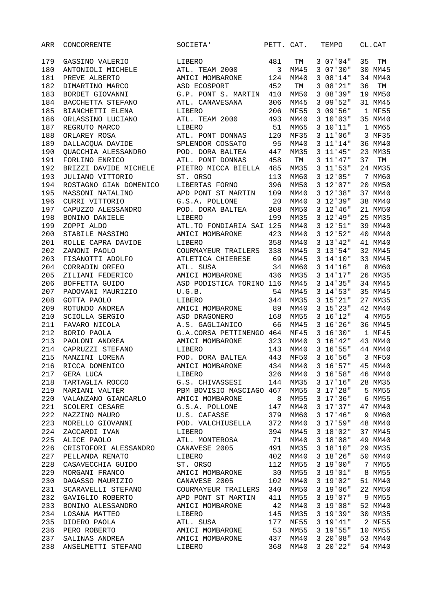| ARR | CONCORRENTE                        | SOCIETA'                  | PETT. CAT. |             | TEMPO           | CL.CAT   |
|-----|------------------------------------|---------------------------|------------|-------------|-----------------|----------|
| 179 | GASSINO VALERIO                    | LIBERO                    | 481        | TM          | 3 07 ' 04"      | 35<br>TM |
| 180 | ANTONIOLI MICHELE                  | ATL. TEAM 2000            | 3          | MM45        | 307'30"         | 30 MM45  |
| 181 | PREVE ALBERTO                      | AMICI MOMBARONE           | 124        | MM40        | 308'14"         | 34 MM40  |
| 182 | DIMARTINO MARCO                    | ASD ECOSPORT              | 452        | TM          | 3 08 21"        | 36<br>TM |
| 183 | BORDET GIOVANNI                    | G.P. PONT S. MARTIN       | 410        | MM50        | 308'39"         | 19 MM50  |
| 184 | BACCHETTA STEFANO                  | ATL. CANAVESANA           | 306        | MM45        | 3 09 '52"       | 31 MM45  |
| 185 | BIANCHETTI ELENA                   | LIBERO                    | 206        | <b>MF55</b> | 3 09 '56"       | 1 MF55   |
| 186 | ORLASSINO LUCIANO                  | ATL. TEAM 2000            | 493        | MM40        | 3 10'03"        | 35 MM40  |
| 187 | REGRUTO MARCO                      | LIBERO                    | 51         | MM65        | 3 10'11"        | 1 MM65   |
| 188 | ORLAREY ROSA                       | ATL. PONT DONNAS          | 120        | <b>MF35</b> | 3 11'06''       | 3 MF35   |
| 189 | DALLACQUA DAVIDE                   | SPLENDOR COSSATO          | 95         | MM40        | 3 11'14"        | 36 MM40  |
| 190 | QUACCHIA ALESSANDRO                | POD. DORA BALTEA          | 447        | MM35        | $3$ $11'45"$    | 23 MM35  |
| 191 | FORLINO ENRICO                     | ATL. PONT DONNAS          | 458        | TM          | 3 11 ' 47 "     | 37<br>TM |
| 192 | BRIZZI DAVIDE MICHELE              | PIETRO MICCA BIELLA       | 485        | MM35        | $3$ $11'53"$    | 24 MM35  |
| 193 | JULIANO VITTORIO                   | ST. ORSO                  | 113        | MM60        | 3 12'05''       | 7 MM60   |
| 194 | ROSTAGNO GIAN DOMENICO             | LIBERTAS FORNO            | 396        | MM50        | 3 12 07 "       | 20 MM50  |
| 195 | MASSONI NATALINO                   | APD PONT ST MARTIN        | 109        | MM40        | $3$ $12'38''$   | 37 MM40  |
| 196 | CURRI VITTORIO                     | G.S.A. POLLONE            | 20         | MM40        | 3 12'39''       | 38 MM40  |
| 197 | CAPUZZO ALESSANDRO                 | POD. DORA BALTEA          | 308        | MM50        | 3 12' 46''      | 21 MM50  |
| 198 | BONINO DANIELE                     | LIBERO                    | 199        | MM35        | 3 12' 49''      | 25 MM35  |
| 199 | ZOPPI ALDO                         | ATL. TO FONDIARIA SAI 125 |            | MM40        | $3$ $12$ $51$ " | 39 MM40  |
| 200 | STABILE MASSIMO                    | AMICI MOMBARONE           | 423        | MM40        | $3$ $12$ $52$ " | 40 MM40  |
| 201 | ROLLE CAPRA DAVIDE                 | LIBERO                    | 358        | MM40        | 3 13' 42''      | 41 MM40  |
| 202 | ZANONI PAOLO                       | COURMAYEUR TRAILERS       | 338        | MM45        | $3$ $13'54"$    | 32 MM45  |
| 203 | FISANOTTI ADOLFO                   | ATLETICA CHIERESE         | 69         | MM45        | $3 \t14'10''$   | 33 MM45  |
| 204 | CORRADIN ORFEO                     | ATL. SUSA                 | 34         | MM60        | 3 14'16''       | 8 MM60   |
| 205 | ZILIANI FEDERICO                   | AMICI MOMBARONE           | 436        | MM35        | 3 14'17''       | 26 MM35  |
| 206 | BOFFETTA GUIDO                     | ASD PODISTICA TORINO 116  |            | MM45        | $3 \t14'35''$   | 34 MM45  |
| 207 | PADOVANI MAURIZIO                  | U.G.B.                    | 54         | MM45        | $3$ $14$ $53$ " | 35 MM45  |
| 208 | GOTTA PAOLO                        | LIBERO                    | 344        | MM35        | $3$ $15'$ $21"$ | 27 MM35  |
| 209 | ROTUNDO ANDREA                     | AMICI MOMBARONE           | 89         | MM40        | $3$ $15'$ $23"$ | 42 MM40  |
| 210 | SCIOLLA SERGIO                     | ASD DRAGONERO             | 168        | MM55        | 3 16'12"        | 4 MM55   |
| 211 | FAVARO NICOLA                      | A.S. GAGLIANICO           | 66         | MM45        | 3 16'26''       | 36 MM45  |
| 212 | BORIO PAOLA                        | G.A.CORSA PETTINENGO 464  |            | MF45        | 3 16'30"        | 1 MF45   |
| 213 | PAOLONI ANDREA                     | AMICI MOMBARONE           | 323        | MM40        | $3\;16'$ 42"    | 43 MM40  |
| 214 | CAPRUZZI STEFANO                   | LIBERO                    | 143        | MM40        | 3 16'55"        | 44 MM40  |
| 215 | MANZINI LORENA                     | POD. DORA BALTEA          | 443        | <b>MF50</b> | 3 16 '56"       | 3 MF50   |
| 216 | RICCA DOMENICO                     | AMICI MOMBARONE           | 434        | MM40        | 3, 16, 57       | 45 MM40  |
| 217 | GERA LUCA                          | LIBERO                    | 326        | MM40        | 3 16'58''       | 46 MM40  |
| 218 | TARTAGLIA ROCCO                    | G.S. CHIVASSESI           | 144        | MM35        | 3 17'16''       | 28 MM35  |
| 219 | MARIANI VALTER                     | PBM BOVISIO MASCIAGO 467  |            | MM55        | 3 17'28''       | 5 MM55   |
| 220 | VALANZANO GIANCARLO                | AMICI MOMBARONE           | 8          | MM55        | 3 17'36''       | 6 MM55   |
| 221 | SCOLERI CESARE                     | G.S.A. POLLONE            | 147        | MM40        | 3 17'37''       | 47 MM40  |
| 222 | MAZZINO MAURO                      | U.S. CAFASSE              | 379        | MM60        | 3 17' 46''      | 9 MM60   |
| 223 | MORELLO GIOVANNI                   | POD. VALCHIUSELLA         | 372        | MM40        | $3 17.59$ "     | 48 MM40  |
| 224 | ZACCARDI IVAN                      | LIBERO                    | 394        | MM45        | 3 18'02"        | 37 MM45  |
| 225 | ALICE PAOLO                        | ATL. MONTEROSA            | 71         | MM40        | 3 18'08''       | 49 MM40  |
| 226 | CRISTOFORI ALESSANDRO              | CANAVESE 2005             | 491        |             | 3 18'10"        | 29 MM35  |
| 227 |                                    |                           | 402        | MM35        | 3 18 26"        | 50 MM40  |
|     | PELLANDA RENATO                    | LIBERO                    |            | MM40        |                 |          |
| 228 | CASAVECCHIA GUIDO                  | ST. ORSO                  | 112        | MM55        | 3 19'00"        | 7 MM55   |
| 229 | MORGANI FRANCO<br>DAGASSO MAURIZIO | AMICI MOMBARONE           | 30         | MM55        | 3 19'01"        | 8 MM55   |
| 230 |                                    | CANAVESE 2005             | 102        | MM40        | 3 19'02"        | 51 MM40  |
| 231 | SCARAVELLI STEFANO                 | COURMAYEUR TRAILERS       | 340        | MM50        | 3 19'06''       | 22 MM50  |
| 232 | GAVIGLIO ROBERTO                   | APD PONT ST MARTIN        | 411        | MM55        | 3 19 07 "       | 9 MM55   |
| 233 | BONINO ALESSANDRO                  | AMICI MOMBARONE           | 42         | MM40        | 3 19'08''       | 52 MM40  |
| 234 | LOSANA MATTEO                      | LIBERO                    | 145        | MM35        | 3 19 39 "       | 30 MM35  |
| 235 | DIDERO PAOLA                       | ATL. SUSA                 | 177        | <b>MF55</b> | 3 19'41"        | 2 MF55   |
| 236 | PERO ROBERTO                       | AMICI MOMBARONE           | 53         | MM55        | 3 19'55"        | 10 MM55  |
| 237 | SALINAS ANDREA                     | AMICI MOMBARONE           | 437        | MM40        | 320'08"         | 53 MM40  |
| 238 | ANSELMETTI STEFANO                 | LIBERO                    | 368        | MM40        | 320'22"         | 54 MM40  |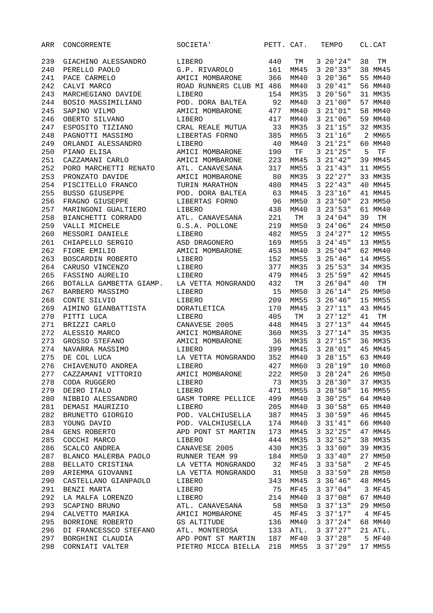| ARR | CONCORRENTE                            | SOCIETA'                 | PETT. CAT. |      | TEMPO             | CL.CAT   |
|-----|----------------------------------------|--------------------------|------------|------|-------------------|----------|
| 239 | GIACHINO ALESSANDRO                    | LIBERO                   | 440        | TМ   | 320'24"           | 38<br>TМ |
| 240 | PERELLO PAOLO                          | G.P. RIVAROLO            | 161        | MM45 | 320'33"           | 38 MM45  |
| 241 | PACE CARMELO                           | AMICI MOMBARONE          | 366        | MM40 | 3 20 ' 36"        | 55 MM40  |
| 242 | CALVI MARCO                            | ROAD RUNNERS CLUB MI 486 |            | MM40 | 320'41"           | 56 MM40  |
| 243 | MARCHEGIANO DAVIDE                     | LIBERO                   | 154        | MM35 | 3 20 '56"         | 31 MM35  |
| 244 | BOSIO MASSIMILIANO                     | POD. DORA BALTEA         | 92         | MM40 | 321'00"           | 57 MM40  |
| 245 | SAPINO VILMO                           | AMICI MOMBARONE          | 477        | MM40 | 321'01"           | 58 MM40  |
| 246 | OBERTO SILVANO                         | LIBERO                   | 417        | MM40 | 3 21 ' 06 "       | 59 MM40  |
| 247 | ESPOSITO TIZIANO                       | CRAL REALE MUTUA         | 33         | MM35 | 321'15"           | 32 MM35  |
| 248 | PAGNOTTI MASSIMO                       | LIBERTAS FORNO           | 385        | MM65 | 321'16''          | 2 MM65   |
| 249 | ORLANDI ALESSANDRO                     | LIBERO                   | 40         | MM40 | 321'21"           | 60 MM40  |
| 250 | PIANO ELISA                            | AMICI MOMBARONE          | 190        | TF   | 3 21 ' 25 "       | 5<br>TF  |
| 251 | CAZZAMANI CARLO                        | AMICI MOMBARONE          | 223        | MM45 | 3 21 ' 42 "       | 39 MM45  |
| 252 | PORO MARCHETTI RENATO                  | ATL. CANAVESANA          | 317        | MM55 | 321'43"           | 11 MM55  |
| 253 | PRONZATO DAVIDE                        | AMICI MOMBARONE          | 80         | MM35 | 3 22 27"          | 33 MM35  |
| 254 | PISCITELLO FRANCO                      | TURIN MARATHON           | 480        | MM45 | 322'43"           | 40 MM45  |
| 255 | <b>BUSSO GIUSEPPE</b>                  | POD. DORA BALTEA         | 63         | MM45 | 323'16''          | 41 MM45  |
| 256 | FRAGNO GIUSEPPE                        | LIBERTAS FORNO           | 96         | MM50 | 323'50''          | 23 MM50  |
| 257 | MARINGONI GUALTIERO                    | LIBERO                   | 438        | MM40 | 323'53"           | 61 MM40  |
| 258 | BIANCHETTI CORRADO                     | ATL. CANAVESANA          | 221        | TM   | 3 24 ' 04 "       | 39<br>TM |
| 259 | VALLI MICHELE                          | G.S.A. POLLONE           | 219        | MM50 | 3 24 ' 06 "       | 24 MM50  |
| 260 | MESSORI DANIELE                        | LIBERO                   | 482        | MM55 | 3 24 ' 27"        | 12 MM55  |
| 261 | CHIAPELLO SERGIO                       | ASD DRAGONERO            | 169        | MM55 | 324'45''          | 13 MM55  |
| 262 | FIORE EMILIO                           | AMICI MOMBARONE          | 453        | MM40 | 325'04"           | 62 MM40  |
| 263 | BOSCARDIN ROBERTO                      | LIBERO                   | 152        | MM55 | 325'46''          | 14 MM55  |
| 264 | CARUSO VINCENZO                        | LIBERO                   | 377        | MM35 | 325'53"           | 34 MM35  |
| 265 | FASSINO AURELIO                        | LIBERO                   | 479        | MM45 | 3 25 '59"         | 42 MM45  |
| 266 | BOTALLA GAMBETTA GIAMP.                | LA VETTA MONGRANDO       | 432        | TM   | 3 26 ' 04 "       | 40<br>TM |
| 267 | BARBERO MASSIMO                        | LIBERO                   | 15         | MM50 | 326'14"           | 25 MM50  |
| 268 | CONTE SILVIO                           | LIBERO                   | 209        | MM55 | 3 26 ' 46 "       | 15 MM55  |
| 269 | AIMINO GIANBATTISTA                    | DORATLETICA              | 170        | MM45 | 327'11"           | 43 MM45  |
| 270 | PITTI LUCA                             | LIBERO                   | 405        | TM   | 327'12"           | 41<br>TM |
| 271 | BRIZZI CARLO                           | CANAVESE 2005            | 448        | MM45 | 327'13"           | 44 MM45  |
| 272 | ALESSIO MARCO                          | AMICI MOMBARONE          | 360        | MM35 | 327'14"           | 35 MM35  |
| 273 | GROSSO STEFANO                         | AMICI MOMBARONE          | 36         | MM35 | 327'15"           | 36 MM35  |
| 274 | NAVARRA MASSIMO                        | LIBERO                   | 399        | MM45 | 328'01"           | 45 MM45  |
| 275 | DE COL LUCA                            | LA VETTA MONGRANDO       | 352        | MM40 | 328'15''          | 63 MM40  |
| 276 | CHIAVENUTO ANDREA                      | LIBERO                   | 427        | MM60 | 3<br>28'19"       | 10 MM60  |
| 277 | CAZZAMANI VITTORIO                     | AMICI MOMBARONE          | 222        | MM50 | 328'24"           | 26 MM50  |
| 278 | CODA RUGGERO                           | LIBERO                   | 73         | MM35 | 328'30"           | 37 MM35  |
| 279 | DEIRO ITALO                            | LIBERO                   | 471        | MM55 | 3 28 '58"         | 16 MM55  |
| 280 | NIBBIO ALESSANDRO                      | GASM TORRE PELLICE       | 499        | MM40 | 3 30 25 "         | 64 MM40  |
| 281 | DEMASI MAURIZIO                        | LIBERO                   | 205        | MM40 | 330'58"           | 65 MM40  |
| 282 | BRUNETTO GIORGIO                       | POD. VALCHIUSELLA        | 387        | MM45 | 3.30'59"          | 46 MM45  |
| 283 | YOUNG DAVID                            | POD. VALCHIUSELLA        | 174        | MM40 | 331'41"           | 66 MM40  |
| 284 | GENS ROBERTO                           | APD PONT ST MARTIN       | 173        | MM45 | $3\ 32'25''$      | 47 MM45  |
| 285 | COCCHI MARCO                           | LIBERO                   | 444        | MM35 | $3\;\;32\;\;52"$  | 38 MM35  |
| 286 | SCALCO ANDREA                          | CANAVESE 2005            | 430        | MM35 | 333'00"           | 39 MM35  |
| 287 |                                        |                          |            | MM50 | 333'40"           | 27 MM50  |
| 288 |                                        |                          |            | MF45 | 333'58"           | 2 MF45   |
| 289 | ARIEMMA GIOVANNI LA VETTA MONGRANDO 31 |                          |            | MM50 | 333'59"           | 28 MM50  |
| 290 | CASTELLANO GIANPAOLO                   | LIBERO                   | 343        | MM45 | 3.36'46''         | 48 MM45  |
| 291 | BENZI MARTA                            | LIBERO                   | 75         | MF45 | 337'04"           | 3 MF45   |
| 292 | LA MALFA LORENZO                       | LIBERO                   | 214        | MM40 | 337'08''          | 67 MM40  |
| 293 | SCAPINO BRUNO                          | ATL. CANAVESANA          | 58         | MM50 | 337'13"           | 29 MM50  |
| 294 | CALVETTO MARIKA AMICI MOMBARONE        |                          | 45         | MF45 | 337'17''          | 4 MF45   |
| 295 | BORRIONE ROBERTO                       | GS ALTITUDE              | 136        | MM40 | 337'24"           | 68 MM40  |
| 296 | DI FRANCESSCO STEFANO ATL. MONTEROSA   |                          | 133        | ATL. | 337'27"           | 21 ATL.  |
| 297 | BORGHINI CLAUDIA                       | APD PONT ST MARTIN 187   |            | MF40 | 337'28''          | 5 MF40   |
| 298 | CORNIATI VALTER                        | PIETRO MICCA BIELLA 218  |            | MM55 | $3 \frac{37}{29}$ | 17 MM55  |